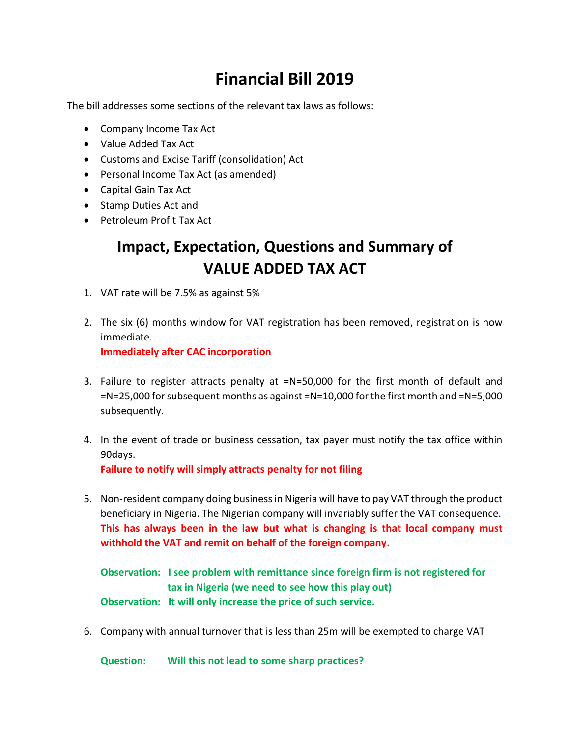# **Financial Bill 2019**

The bill addresses some sections of the relevant tax laws as follows:

- Company Income Tax Act
- Value Added Tax Act
- Customs and Excise Tariff (consolidation) Act
- Personal Income Tax Act (as amended)
- Capital Gain Tax Act
- Stamp Duties Act and
- Petroleum Profit Tax Act

## **Impact, Expectation, Questions and Summary of VALUE ADDED TAX ACT**

- 1. VAT rate will be 7.5% as against 5%
- 2. The six (6) months window for VAT registration has been removed, registration is now immediate. **Immediately after CAC incorporation**
- 3. Failure to register attracts penalty at =N=50,000 for the first month of default and =N=25,000 for subsequent months as against =N=10,000 for the first month and =N=5,000 subsequently.
- 4. In the event of trade or business cessation, tax payer must notify the tax office within 90days. **Failure to notify will simply attracts penalty for not filing**
- 5. Non-resident company doing business in Nigeria will have to pay VAT through the product beneficiary in Nigeria. The Nigerian company will invariably suffer the VAT consequence. **This has always been in the law but what is changing is that local company must withhold the VAT and remit on behalf of the foreign company.**

**Observation: I see problem with remittance since foreign firm is not registered for tax in Nigeria (we need to see how this play out) Observation: It will only increase the price of such service.** 

6. Company with annual turnover that is less than 25m will be exempted to charge VAT

**Question: Will this not lead to some sharp practices?**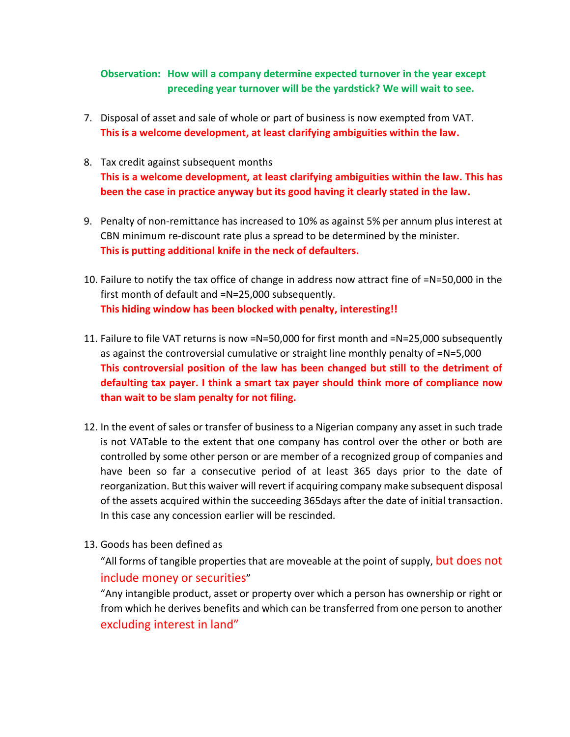### **Observation: How will a company determine expected turnover in the year except preceding year turnover will be the yardstick? We will wait to see.**

- 7. Disposal of asset and sale of whole or part of business is now exempted from VAT. **This is a welcome development, at least clarifying ambiguities within the law.**
- 8. Tax credit against subsequent months **This is a welcome development, at least clarifying ambiguities within the law. This has been the case in practice anyway but its good having it clearly stated in the law.**
- 9. Penalty of non-remittance has increased to 10% as against 5% per annum plus interest at CBN minimum re-discount rate plus a spread to be determined by the minister. **This is putting additional knife in the neck of defaulters.**
- 10. Failure to notify the tax office of change in address now attract fine of =N=50,000 in the first month of default and =N=25,000 subsequently. **This hiding window has been blocked with penalty, interesting!!**
- 11. Failure to file VAT returns is now =N=50,000 for first month and =N=25,000 subsequently as against the controversial cumulative or straight line monthly penalty of =N=5,000 **This controversial position of the law has been changed but still to the detriment of defaulting tax payer. I think a smart tax payer should think more of compliance now than wait to be slam penalty for not filing.**
- 12. In the event of sales or transfer of business to a Nigerian company any asset in such trade is not VATable to the extent that one company has control over the other or both are controlled by some other person or are member of a recognized group of companies and have been so far a consecutive period of at least 365 days prior to the date of reorganization. But this waiver will revert if acquiring company make subsequent disposal of the assets acquired within the succeeding 365days after the date of initial transaction. In this case any concession earlier will be rescinded.
- 13. Goods has been defined as

"All forms of tangible properties that are moveable at the point of supply, but does not include money or securities"

"Any intangible product, asset or property over which a person has ownership or right or from which he derives benefits and which can be transferred from one person to another excluding interest in land"